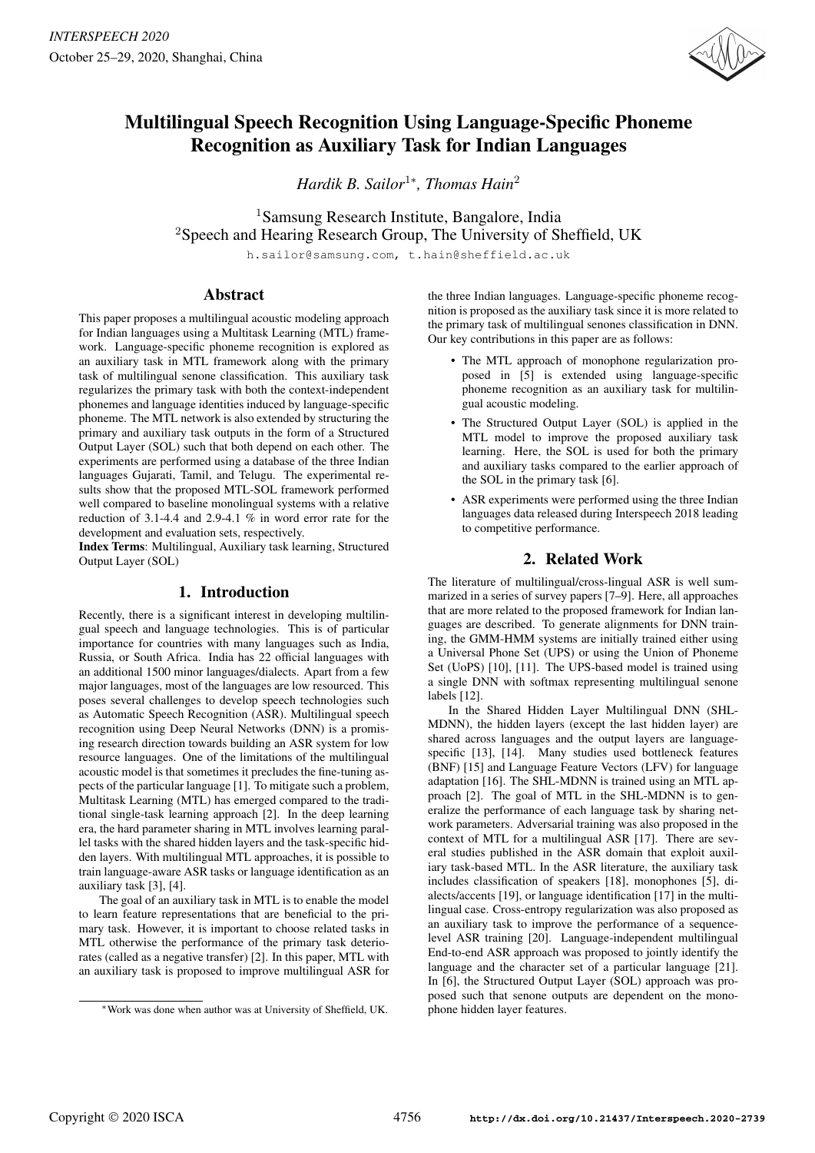

# Multilingual Speech Recognition Using Language-Specific Phoneme Recognition as Auxiliary Task for Indian Languages

*Hardik B. Sailor*<sup>1</sup><sup>∗</sup> *, Thomas Hain*<sup>2</sup>

<sup>1</sup>Samsung Research Institute, Bangalore, India <sup>2</sup>Speech and Hearing Research Group, The University of Sheffield, UK

h.sailor@samsung.com, t.hain@sheffield.ac.uk

# Abstract

This paper proposes a multilingual acoustic modeling approach for Indian languages using a Multitask Learning (MTL) framework. Language-specific phoneme recognition is explored as an auxiliary task in MTL framework along with the primary task of multilingual senone classification. This auxiliary task regularizes the primary task with both the context-independent phonemes and language identities induced by language-specific phoneme. The MTL network is also extended by structuring the primary and auxiliary task outputs in the form of a Structured Output Layer (SOL) such that both depend on each other. The experiments are performed using a database of the three Indian languages Gujarati, Tamil, and Telugu. The experimental results show that the proposed MTL-SOL framework performed well compared to baseline monolingual systems with a relative reduction of 3.1-4.4 and 2.9-4.1 % in word error rate for the development and evaluation sets, respectively.

Index Terms: Multilingual, Auxiliary task learning, Structured Output Layer (SOL)

# 1. Introduction

Recently, there is a significant interest in developing multilingual speech and language technologies. This is of particular importance for countries with many languages such as India, Russia, or South Africa. India has 22 official languages with an additional 1500 minor languages/dialects. Apart from a few major languages, most of the languages are low resourced. This poses several challenges to develop speech technologies such as Automatic Speech Recognition (ASR). Multilingual speech recognition using Deep Neural Networks (DNN) is a promising research direction towards building an ASR system for low resource languages. One of the limitations of the multilingual acoustic model is that sometimes it precludes the fine-tuning aspects of the particular language [1]. To mitigate such a problem, Multitask Learning (MTL) has emerged compared to the traditional single-task learning approach [2]. In the deep learning era, the hard parameter sharing in MTL involves learning parallel tasks with the shared hidden layers and the task-specific hidden layers. With multilingual MTL approaches, it is possible to train language-aware ASR tasks or language identification as an auxiliary task [3], [4].

The goal of an auxiliary task in MTL is to enable the model to learn feature representations that are beneficial to the primary task. However, it is important to choose related tasks in MTL otherwise the performance of the primary task deteriorates (called as a negative transfer) [2]. In this paper, MTL with an auxiliary task is proposed to improve multilingual ASR for the three Indian languages. Language-specific phoneme recognition is proposed as the auxiliary task since it is more related to the primary task of multilingual senones classification in DNN. Our key contributions in this paper are as follows:

- The MTL approach of monophone regularization proposed in [5] is extended using language-specific phoneme recognition as an auxiliary task for multilingual acoustic modeling.
- The Structured Output Layer (SOL) is applied in the MTL model to improve the proposed auxiliary task learning. Here, the SOL is used for both the primary and auxiliary tasks compared to the earlier approach of the SOL in the primary task [6].
- ASR experiments were performed using the three Indian languages data released during Interspeech 2018 leading to competitive performance.

# 2. Related Work

The literature of multilingual/cross-lingual ASR is well summarized in a series of survey papers [7–9]. Here, all approaches that are more related to the proposed framework for Indian languages are described. To generate alignments for DNN training, the GMM-HMM systems are initially trained either using a Universal Phone Set (UPS) or using the Union of Phoneme Set (UoPS) [10], [11]. The UPS-based model is trained using a single DNN with softmax representing multilingual senone labels [12].

In the Shared Hidden Layer Multilingual DNN (SHL-MDNN), the hidden layers (except the last hidden layer) are shared across languages and the output layers are languagespecific [13], [14]. Many studies used bottleneck features (BNF) [15] and Language Feature Vectors (LFV) for language adaptation [16]. The SHL-MDNN is trained using an MTL approach [2]. The goal of MTL in the SHL-MDNN is to generalize the performance of each language task by sharing network parameters. Adversarial training was also proposed in the context of MTL for a multilingual ASR [17]. There are several studies published in the ASR domain that exploit auxiliary task-based MTL. In the ASR literature, the auxiliary task includes classification of speakers [18], monophones [5], dialects/accents [19], or language identification [17] in the multilingual case. Cross-entropy regularization was also proposed as an auxiliary task to improve the performance of a sequencelevel ASR training [20]. Language-independent multilingual End-to-end ASR approach was proposed to jointly identify the language and the character set of a particular language [21]. In [6], the Structured Output Layer (SOL) approach was proposed such that senone outputs are dependent on the monophone hidden layer features.

<sup>∗</sup>Work was done when author was at University of Sheffield, UK.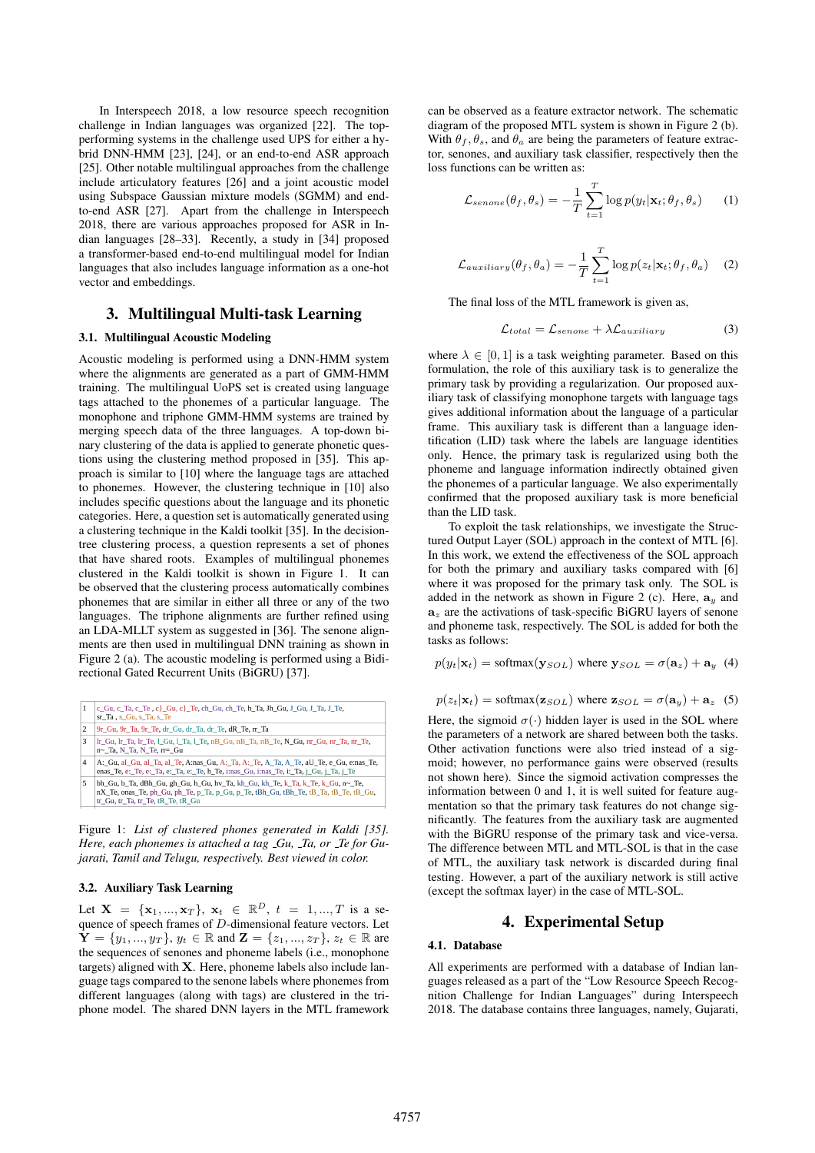In Interspeech 2018, a low resource speech recognition challenge in Indian languages was organized [22]. The topperforming systems in the challenge used UPS for either a hybrid DNN-HMM [23], [24], or an end-to-end ASR approach [25]. Other notable multilingual approaches from the challenge include articulatory features [26] and a joint acoustic model using Subspace Gaussian mixture models (SGMM) and endto-end ASR [27]. Apart from the challenge in Interspeech 2018, there are various approaches proposed for ASR in Indian languages [28–33]. Recently, a study in [34] proposed a transformer-based end-to-end multilingual model for Indian languages that also includes language information as a one-hot vector and embeddings.

## 3. Multilingual Multi-task Learning

#### 3.1. Multilingual Acoustic Modeling

Acoustic modeling is performed using a DNN-HMM system where the alignments are generated as a part of GMM-HMM training. The multilingual UoPS set is created using language tags attached to the phonemes of a particular language. The monophone and triphone GMM-HMM systems are trained by merging speech data of the three languages. A top-down binary clustering of the data is applied to generate phonetic questions using the clustering method proposed in [35]. This approach is similar to [10] where the language tags are attached to phonemes. However, the clustering technique in [10] also includes specific questions about the language and its phonetic categories. Here, a question set is automatically generated using a clustering technique in the Kaldi toolkit [35]. In the decisiontree clustering process, a question represents a set of phones that have shared roots. Examples of multilingual phonemes clustered in the Kaldi toolkit is shown in Figure 1. It can be observed that the clustering process automatically combines phonemes that are similar in either all three or any of the two languages. The triphone alignments are further refined using an LDA-MLLT system as suggested in [36]. The senone alignments are then used in multilingual DNN training as shown in Figure 2 (a). The acoustic modeling is performed using a Bidirectional Gated Recurrent Units (BiGRU) [37].

| 1 | c Gu, c Ta, c Te, c} Gu, c} Te, ch Gu, ch Te, h Ta, Jh Gu, J Gu, J Ta, J Te,<br>sr_Ta, s_Gu, s_Ta, s_Te                                                                                                      |
|---|--------------------------------------------------------------------------------------------------------------------------------------------------------------------------------------------------------------|
| 2 | 9r_Gu, 9r_Ta, 9r_Te, dr_Gu, dr_Ta, dr_Te, dR_Te, rr_Ta                                                                                                                                                       |
| 3 | lr_Gu, lr_Ta, lr_Te, l_Gu, l_Ta, l_Te, nB_Gu, nB_Ta, nB_Te, N_Gu, nr_Gu, nr_Ta, nr_Te,<br>n~ Ta, N Ta, N Te, rr= Gu                                                                                          |
| 4 | A: Gu, al Gu, al Ta, al Te, A:nas Gu, A: Ta, A: Te, A Ta, A Te, aU Te, e Gu, e:nas Te,<br>enas Te, e: Te, e: Ta, e: Ta, e: Te, h Te, i: nas Gu, i: nas Te, i: Ta, j Gu, j Ta, j Te                           |
| 5 | bh_Gu, b_Ta, dBh_Gu, gh_Gu, h_Gu, hv_Ta, kh_Gu, kh_Te, k_Ta, k_Te, k_Gu, n~_Te,<br>nX_Te, onas_Te, ph_Gu, ph_Te, p_Ta, p_Gu, p_Te, tBh_Gu, tBh_Te, tB_Ta, tB_Te, tB_Gu,<br>tr Gu, tr Ta, tr Te, tR Te, tR Gu |

Figure 1: *List of clustered phones generated in Kaldi [35]. Here, each phonemes is attached a tag Gu, Ta, or Te for Gujarati, Tamil and Telugu, respectively. Best viewed in color.*

## 3.2. Auxiliary Task Learning

Let  $X = \{x_1, ..., x_T\}, x_t \in \mathbb{R}^D, t = 1, ..., T$  is a sequence of speech frames of D-dimensional feature vectors. Let  $\mathbf{Y} = \{y_1, ..., y_T\}, y_t \in \mathbb{R} \text{ and } \mathbf{Z} = \{z_1, ..., z_T\}, z_t \in \mathbb{R} \text{ are }$ the sequences of senones and phoneme labels (i.e., monophone targets) aligned with X. Here, phoneme labels also include language tags compared to the senone labels where phonemes from different languages (along with tags) are clustered in the triphone model. The shared DNN layers in the MTL framework can be observed as a feature extractor network. The schematic diagram of the proposed MTL system is shown in Figure 2 (b). With  $\theta_f$ ,  $\theta_s$ , and  $\theta_a$  are being the parameters of feature extractor, senones, and auxiliary task classifier, respectively then the loss functions can be written as:

$$
\mathcal{L}_{senone}(\theta_f, \theta_s) = -\frac{1}{T} \sum_{t=1}^T \log p(y_t | \mathbf{x}_t; \theta_f, \theta_s)
$$
 (1)

$$
\mathcal{L}_{auxiliary}(\theta_f, \theta_a) = -\frac{1}{T} \sum_{t=1}^{T} \log p(z_t | \mathbf{x}_t; \theta_f, \theta_a)
$$
 (2)

The final loss of the MTL framework is given as,

$$
\mathcal{L}_{total} = \mathcal{L}_{senone} + \lambda \mathcal{L}_{auxiliary} \tag{3}
$$

where  $\lambda \in [0, 1]$  is a task weighting parameter. Based on this formulation, the role of this auxiliary task is to generalize the primary task by providing a regularization. Our proposed auxiliary task of classifying monophone targets with language tags gives additional information about the language of a particular frame. This auxiliary task is different than a language identification (LID) task where the labels are language identities only. Hence, the primary task is regularized using both the phoneme and language information indirectly obtained given the phonemes of a particular language. We also experimentally confirmed that the proposed auxiliary task is more beneficial than the LID task.

To exploit the task relationships, we investigate the Structured Output Layer (SOL) approach in the context of MTL [6]. In this work, we extend the effectiveness of the SOL approach for both the primary and auxiliary tasks compared with [6] where it was proposed for the primary task only. The SOL is added in the network as shown in Figure 2 (c). Here,  $a_y$  and  $a<sub>z</sub>$  are the activations of task-specific BiGRU layers of senone and phoneme task, respectively. The SOL is added for both the tasks as follows:

$$
p(y_t|\mathbf{x}_t) = \text{softmax}(\mathbf{y}_{SOL}) \text{ where } \mathbf{y}_{SOL} = \sigma(\mathbf{a}_z) + \mathbf{a}_y
$$
 (4)

$$
p(z_t|\mathbf{x}_t) = \text{softmax}(\mathbf{z}_{SOL}) \text{ where } \mathbf{z}_{SOL} = \sigma(\mathbf{a}_y) + \mathbf{a}_z \quad (5)
$$

Here, the sigmoid  $\sigma(\cdot)$  hidden layer is used in the SOL where the parameters of a network are shared between both the tasks. Other activation functions were also tried instead of a sigmoid; however, no performance gains were observed (results not shown here). Since the sigmoid activation compresses the information between 0 and 1, it is well suited for feature augmentation so that the primary task features do not change significantly. The features from the auxiliary task are augmented with the BiGRU response of the primary task and vice-versa. The difference between MTL and MTL-SOL is that in the case of MTL, the auxiliary task network is discarded during final testing. However, a part of the auxiliary network is still active (except the softmax layer) in the case of MTL-SOL.

## 4. Experimental Setup

#### 4.1. Database

All experiments are performed with a database of Indian languages released as a part of the "Low Resource Speech Recognition Challenge for Indian Languages" during Interspeech 2018. The database contains three languages, namely, Gujarati,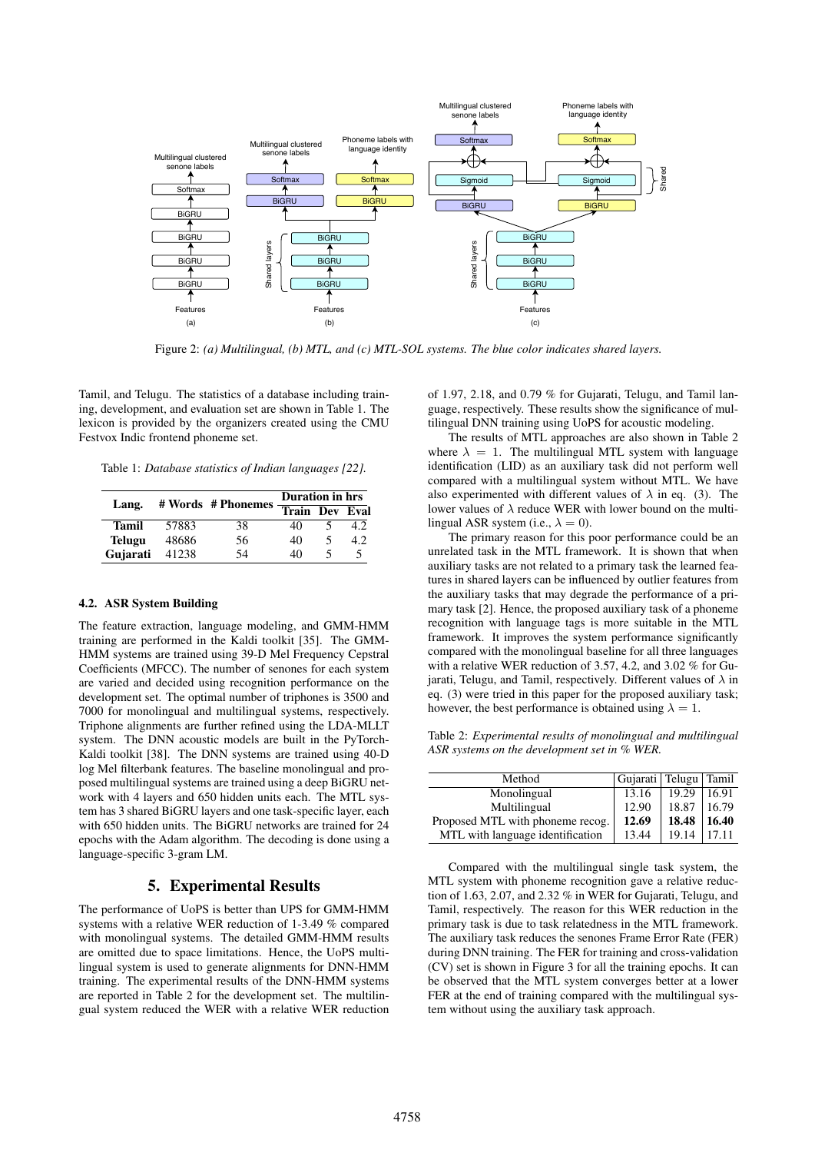

Figure 2: *(a) Multilingual, (b) MTL, and (c) MTL-SOL systems. The blue color indicates shared layers.*

Tamil, and Telugu. The statistics of a database including training, development, and evaluation set are shown in Table 1. The lexicon is provided by the organizers created using the CMU Festvox Indic frontend phoneme set.

Table 1: *Database statistics of Indian languages [22].*

| Lang.         |       | $# Words$ # Phonemes $Tran Dev$ Eval | Duration in hrs |   |      |
|---------------|-------|--------------------------------------|-----------------|---|------|
|               |       |                                      |                 |   |      |
| <b>Tamil</b>  | 57883 | 38                                   | 40              |   | 4.2  |
| <b>Telugu</b> | 48686 | 56                                   | 40              | ↖ | 4.2. |
| Gujarati      | 41238 | 54                                   | 40              |   |      |

#### 4.2. ASR System Building

The feature extraction, language modeling, and GMM-HMM training are performed in the Kaldi toolkit [35]. The GMM-HMM systems are trained using 39-D Mel Frequency Cepstral Coefficients (MFCC). The number of senones for each system are varied and decided using recognition performance on the development set. The optimal number of triphones is 3500 and 7000 for monolingual and multilingual systems, respectively. Triphone alignments are further refined using the LDA-MLLT system. The DNN acoustic models are built in the PyTorch-Kaldi toolkit [38]. The DNN systems are trained using 40-D log Mel filterbank features. The baseline monolingual and proposed multilingual systems are trained using a deep BiGRU network with 4 layers and 650 hidden units each. The MTL system has 3 shared BiGRU layers and one task-specific layer, each with 650 hidden units. The BiGRU networks are trained for 24 epochs with the Adam algorithm. The decoding is done using a language-specific 3-gram LM.

## 5. Experimental Results

The performance of UoPS is better than UPS for GMM-HMM systems with a relative WER reduction of 1-3.49 % compared with monolingual systems. The detailed GMM-HMM results are omitted due to space limitations. Hence, the UoPS multilingual system is used to generate alignments for DNN-HMM training. The experimental results of the DNN-HMM systems are reported in Table 2 for the development set. The multilingual system reduced the WER with a relative WER reduction of 1.97, 2.18, and 0.79 % for Gujarati, Telugu, and Tamil language, respectively. These results show the significance of multilingual DNN training using UoPS for acoustic modeling.

The results of MTL approaches are also shown in Table 2 where  $\lambda = 1$ . The multilingual MTL system with language identification (LID) as an auxiliary task did not perform well compared with a multilingual system without MTL. We have also experimented with different values of  $\lambda$  in eq. (3). The lower values of  $\lambda$  reduce WER with lower bound on the multilingual ASR system (i.e.,  $\lambda = 0$ ).

The primary reason for this poor performance could be an unrelated task in the MTL framework. It is shown that when auxiliary tasks are not related to a primary task the learned features in shared layers can be influenced by outlier features from the auxiliary tasks that may degrade the performance of a primary task [2]. Hence, the proposed auxiliary task of a phoneme recognition with language tags is more suitable in the MTL framework. It improves the system performance significantly compared with the monolingual baseline for all three languages with a relative WER reduction of 3.57, 4.2, and 3.02 % for Gujarati, Telugu, and Tamil, respectively. Different values of  $\lambda$  in eq. (3) were tried in this paper for the proposed auxiliary task; however, the best performance is obtained using  $\lambda = 1$ .

Table 2: *Experimental results of monolingual and multilingual ASR systems on the development set in % WER.*

| Method                           | Gujarati   Telugu   Tamil |       |       |
|----------------------------------|---------------------------|-------|-------|
| Monolingual                      | 13.16                     | 19.29 | 16.91 |
| Multilingual                     | 12.90                     | 18.87 | 16.79 |
| Proposed MTL with phoneme recog. | 12.69                     | 18.48 | 16.40 |
| MTL with language identification | 13.44                     | 19.14 | 17.11 |

Compared with the multilingual single task system, the MTL system with phoneme recognition gave a relative reduction of 1.63, 2.07, and 2.32 % in WER for Gujarati, Telugu, and Tamil, respectively. The reason for this WER reduction in the primary task is due to task relatedness in the MTL framework. The auxiliary task reduces the senones Frame Error Rate (FER) during DNN training. The FER for training and cross-validation (CV) set is shown in Figure 3 for all the training epochs. It can be observed that the MTL system converges better at a lower FER at the end of training compared with the multilingual system without using the auxiliary task approach.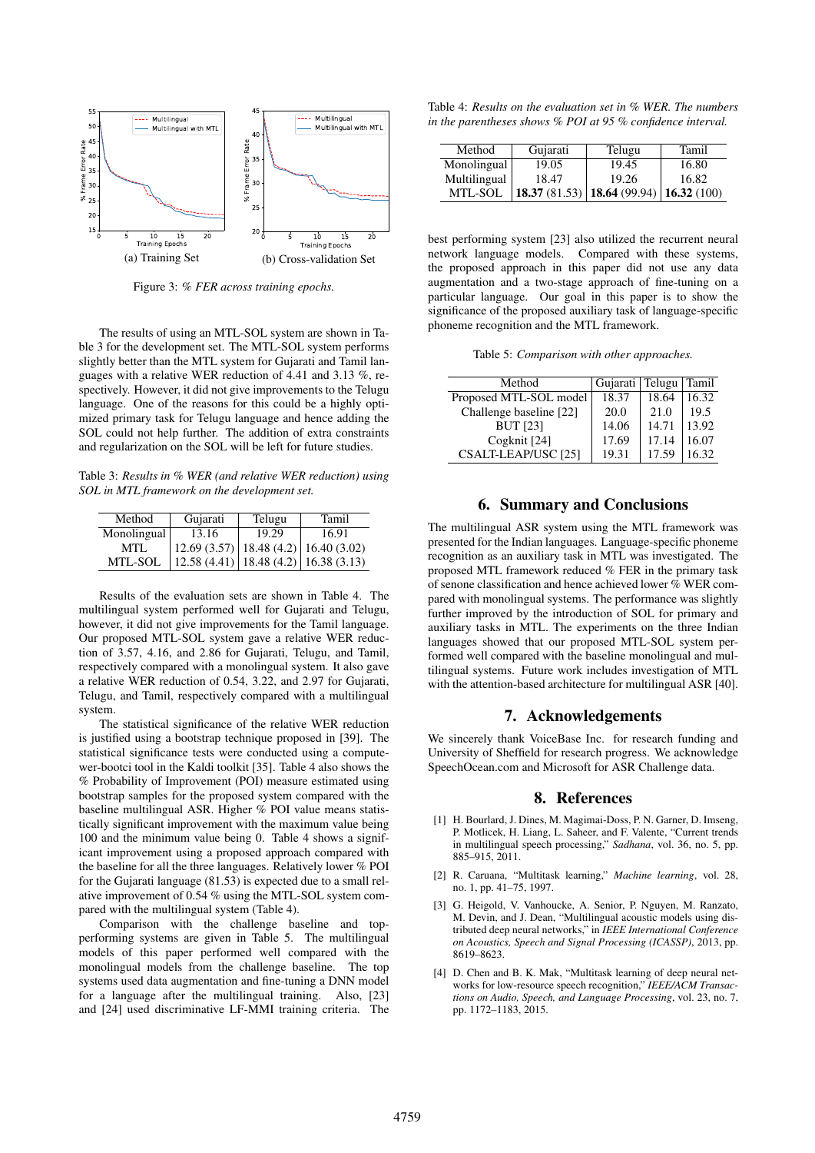

Figure 3: *% FER across training epochs.*

The results of using an MTL-SOL system are shown in Table 3 for the development set. The MTL-SOL system performs slightly better than the MTL system for Gujarati and Tamil languages with a relative WER reduction of 4.41 and 3.13 %, respectively. However, it did not give improvements to the Telugu language. One of the reasons for this could be a highly optimized primary task for Telugu language and hence adding the SOL could not help further. The addition of extra constraints and regularization on the SOL will be left for future studies.

Table 3: *Results in % WER (and relative WER reduction) using SOL in MTL framework on the development set.*

| Method      | Gujarati                                   | Telugu | Tamil |
|-------------|--------------------------------------------|--------|-------|
| Monolingual | 13.16                                      | 19.29  | 16.91 |
| MTL         | $12.69(3.57)$   18.48 (4.2)   16.40 (3.02) |        |       |
| MTL-SOL     | 12.58 (4.41)   18.48 (4.2)   16.38 (3.13)  |        |       |

Results of the evaluation sets are shown in Table 4. The multilingual system performed well for Gujarati and Telugu, however, it did not give improvements for the Tamil language. Our proposed MTL-SOL system gave a relative WER reduction of 3.57, 4.16, and 2.86 for Gujarati, Telugu, and Tamil, respectively compared with a monolingual system. It also gave a relative WER reduction of 0.54, 3.22, and 2.97 for Gujarati, Telugu, and Tamil, respectively compared with a multilingual system.

The statistical significance of the relative WER reduction is justified using a bootstrap technique proposed in [39]. The statistical significance tests were conducted using a computewer-bootci tool in the Kaldi toolkit [35]. Table 4 also shows the % Probability of Improvement (POI) measure estimated using bootstrap samples for the proposed system compared with the baseline multilingual ASR. Higher % POI value means statistically significant improvement with the maximum value being 100 and the minimum value being 0. Table 4 shows a significant improvement using a proposed approach compared with the baseline for all the three languages. Relatively lower % POI for the Gujarati language (81.53) is expected due to a small relative improvement of 0.54 % using the MTL-SOL system compared with the multilingual system (Table 4).

Comparison with the challenge baseline and topperforming systems are given in Table 5. The multilingual models of this paper performed well compared with the monolingual models from the challenge baseline. The top systems used data augmentation and fine-tuning a DNN model for a language after the multilingual training. Also, [23] and [24] used discriminative LF-MMI training criteria. The

Table 4: *Results on the evaluation set in % WER. The numbers in the parentheses shows % POI at 95 % confidence interval.*

| Method       | Gujarati | Telugu                                                       | Tamil |
|--------------|----------|--------------------------------------------------------------|-------|
| Monolingual  | 19.05    | 19.45                                                        | 16.80 |
| Multilingual | 18.47    | 19.26                                                        | 16.82 |
| MTL-SOL      |          | <b>18.37</b> (81.53) <b>18.64</b> (99.94) <b>16.32</b> (100) |       |

best performing system [23] also utilized the recurrent neural network language models. Compared with these systems, the proposed approach in this paper did not use any data augmentation and a two-stage approach of fine-tuning on a particular language. Our goal in this paper is to show the significance of the proposed auxiliary task of language-specific phoneme recognition and the MTL framework.

Table 5: *Comparison with other approaches.*

| Method                  | Gujarati | Telugu Tamil |       |
|-------------------------|----------|--------------|-------|
| Proposed MTL-SOL model  | 18.37    | 18.64        | 16.32 |
| Challenge baseline [22] | 20.0     | 21.0         | 19.5  |
| <b>BUT</b> [23]         | 14.06    | 14.71        | 13.92 |
| Cogknit [24]            | 17.69    | 17.14        | 16.07 |
| CSALT-LEAP/USC [25]     | 19.31    | 17.59        | 16.32 |

## 6. Summary and Conclusions

The multilingual ASR system using the MTL framework was presented for the Indian languages. Language-specific phoneme recognition as an auxiliary task in MTL was investigated. The proposed MTL framework reduced % FER in the primary task of senone classification and hence achieved lower % WER compared with monolingual systems. The performance was slightly further improved by the introduction of SOL for primary and auxiliary tasks in MTL. The experiments on the three Indian languages showed that our proposed MTL-SOL system performed well compared with the baseline monolingual and multilingual systems. Future work includes investigation of MTL with the attention-based architecture for multilingual ASR [40].

### 7. Acknowledgements

We sincerely thank VoiceBase Inc. for research funding and University of Sheffield for research progress. We acknowledge SpeechOcean.com and Microsoft for ASR Challenge data.

#### 8. References

- [1] H. Bourlard, J. Dines, M. Magimai-Doss, P. N. Garner, D. Imseng, P. Motlicek, H. Liang, L. Saheer, and F. Valente, "Current trends in multilingual speech processing," *Sadhana*, vol. 36, no. 5, pp. 885–915, 2011.
- [2] R. Caruana, "Multitask learning," *Machine learning*, vol. 28, no. 1, pp. 41–75, 1997.
- [3] G. Heigold, V. Vanhoucke, A. Senior, P. Nguyen, M. Ranzato, M. Devin, and J. Dean, "Multilingual acoustic models using distributed deep neural networks," in *IEEE International Conference on Acoustics, Speech and Signal Processing (ICASSP)*, 2013, pp. 8619–8623.
- [4] D. Chen and B. K. Mak, "Multitask learning of deep neural networks for low-resource speech recognition," *IEEE/ACM Transactions on Audio, Speech, and Language Processing*, vol. 23, no. 7, pp. 1172–1183, 2015.